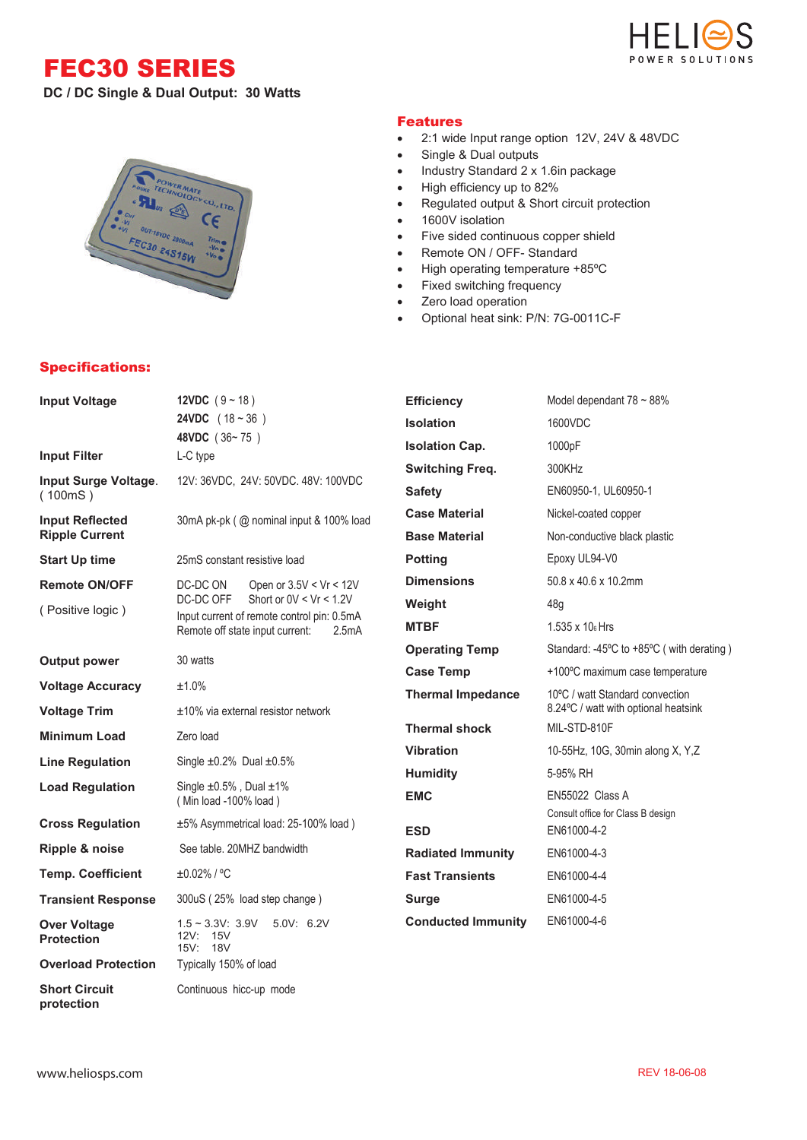FEC30 SERIES







## Specifications:

## Features

- 2:1 wide Input range option 12V, 24V & 48VDC
- Single & Dual outputs
- Industry Standard 2 x 1.6in package
- High efficiency up to 82%
- Regulated output & Short circuit protection
- 1600V isolation
- Five sided continuous copper shield
- Remote ON / OFF- Standard
- High operating temperature +85ºC
- Fixed switching frequency
- Zero load operation
- Optional heat sink: P/N: 7G-0011C-F

| <b>Input Voltage</b>                           | 12VDC $(9 - 18)$                                                                       | <b>Efficiency</b>         | Model dependant $78 \sim 88\%$                                          |  |  |
|------------------------------------------------|----------------------------------------------------------------------------------------|---------------------------|-------------------------------------------------------------------------|--|--|
|                                                | <b>24VDC</b> $(18 - 36)$                                                               | <b>Isolation</b>          | 1600VDC                                                                 |  |  |
| <b>Input Filter</b>                            | 48VDC (36~75)<br>L-C type                                                              | <b>Isolation Cap.</b>     | 1000pF                                                                  |  |  |
|                                                |                                                                                        | <b>Switching Freq.</b>    | 300KHz                                                                  |  |  |
| Input Surge Voltage.<br>(100mS)                | 12V: 36VDC, 24V: 50VDC. 48V: 100VDC                                                    | <b>Safety</b>             | EN60950-1, UL60950-1                                                    |  |  |
| <b>Input Reflected</b>                         | 30mA pk-pk (@ nominal input & 100% load                                                | <b>Case Material</b>      | Nickel-coated copper                                                    |  |  |
| <b>Ripple Current</b>                          |                                                                                        | <b>Base Material</b>      | Non-conductive black plastic                                            |  |  |
| <b>Start Up time</b>                           | 25mS constant resistive load                                                           | <b>Potting</b>            | Epoxy UL94-V0                                                           |  |  |
| <b>Remote ON/OFF</b>                           | DC-DC ON<br>Open or 3.5V < Vr < 12V                                                    | <b>Dimensions</b>         | 50.8 x 40.6 x 10.2mm                                                    |  |  |
| (Positive logic)                               | Short or $0V < Vr < 1.2V$<br>DC-DC OFF                                                 | Weight                    | 48g                                                                     |  |  |
|                                                | Input current of remote control pin: 0.5mA<br>Remote off state input current:<br>2.5mA | <b>MTBF</b>               | 1.535 x 10 <sub>6</sub> Hrs                                             |  |  |
| <b>Output power</b>                            | 30 watts                                                                               | <b>Operating Temp</b>     | Standard: -45°C to +85°C (with derating)                                |  |  |
|                                                |                                                                                        | <b>Case Temp</b>          | +100°C maximum case temperature                                         |  |  |
| <b>Voltage Accuracy</b><br><b>Voltage Trim</b> | ±1.0%<br>$±10\%$ via external resistor network                                         | <b>Thermal Impedance</b>  | 10°C / watt Standard convection<br>8.24°C / watt with optional heatsink |  |  |
| <b>Minimum Load</b>                            | Zero load                                                                              | <b>Thermal shock</b>      | MIL-STD-810F                                                            |  |  |
|                                                |                                                                                        | <b>Vibration</b>          | 10-55Hz, 10G, 30min along X, Y,Z                                        |  |  |
| <b>Line Regulation</b>                         | Single $\pm 0.2\%$ Dual $\pm 0.5\%$                                                    | <b>Humidity</b>           | 5-95% RH                                                                |  |  |
| <b>Load Regulation</b>                         | Single $\pm 0.5\%$ , Dual $\pm 1\%$<br>(Min load -100% load)                           | <b>EMC</b>                | EN55022 Class A<br>Consult office for Class B design<br>EN61000-4-2     |  |  |
| <b>Cross Regulation</b>                        | ±5% Asymmetrical load: 25-100% load)                                                   | <b>ESD</b>                |                                                                         |  |  |
| Ripple & noise                                 | See table, 20MHZ bandwidth                                                             | <b>Radiated Immunity</b>  | EN61000-4-3                                                             |  |  |
| <b>Temp. Coefficient</b>                       | ±0.02% / °C                                                                            | <b>Fast Transients</b>    | EN61000-4-4                                                             |  |  |
| <b>Transient Response</b>                      | 300uS (25% load step change)                                                           | <b>Surge</b>              | EN61000-4-5                                                             |  |  |
| <b>Over Voltage</b><br><b>Protection</b>       | $1.5 \sim 3.3$ V: $3.9$ V<br>5.0V: 6.2V<br>12V: 15V<br>15V: 18V                        | <b>Conducted Immunity</b> | EN61000-4-6                                                             |  |  |
| <b>Overload Protection</b>                     | Typically 150% of load                                                                 |                           |                                                                         |  |  |
| <b>Short Circuit</b>                           | Continuous hicc-up mode                                                                |                           |                                                                         |  |  |

**protection**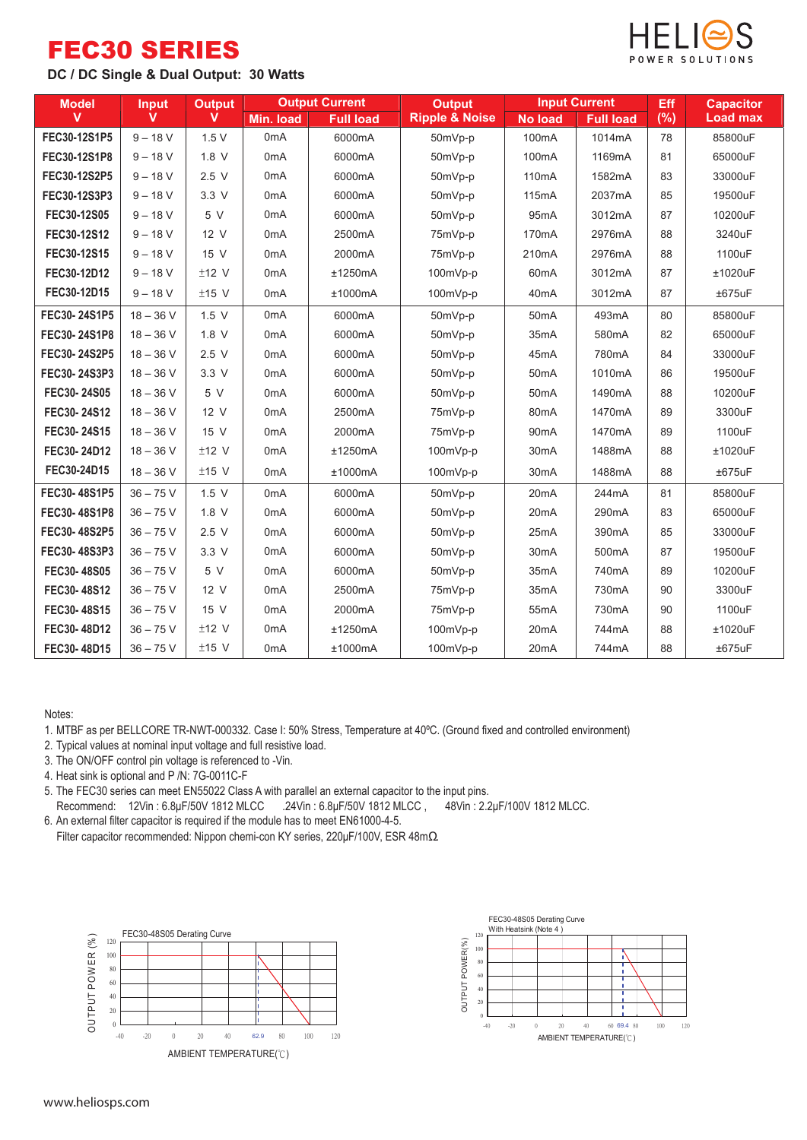## FEC30 SERIES





| <b>Model</b> | <b>Output Current</b><br><b>Output</b><br><b>Input</b> |         | <b>Output</b>    | <b>Input Current</b> |                               | Eff                | <b>Capacitor</b>    |     |                 |
|--------------|--------------------------------------------------------|---------|------------------|----------------------|-------------------------------|--------------------|---------------------|-----|-----------------|
| $\mathbf{V}$ | $\mathbf v$                                            | v       | Min. load        | <b>Full load</b>     | <b>Ripple &amp; Noise</b>     | <b>No load</b>     | <b>Full load</b>    | (%) | <b>Load max</b> |
| FEC30-12S1P5 | $9 - 18 V$                                             | 1.5V    | 0 <sub>m</sub> A | 6000mA               | 50mVp-p                       | 100 <sub>m</sub> A | 1014mA              | 78  | 85800uF         |
| FEC30-12S1P8 | $9 - 18 V$                                             | 1.8 V   | 0 <sub>m</sub> A | 6000mA               | 50mVp-p                       | 100 <sub>m</sub> A | 1169mA              | 81  | 65000uF         |
| FEC30-12S2P5 | $9 - 18 V$                                             | 2.5V    | 0 <sub>m</sub> A | 6000mA               | 50mVp-p                       | 110mA              | 1582mA              | 83  | 33000uF         |
| FEC30-12S3P3 | $9 - 18 V$                                             | 3.3V    | 0 <sub>m</sub> A | 6000mA               | 50mVp-p                       | 115mA              | 2037mA              | 85  | 19500uF         |
| FEC30-12S05  | $9 - 18 V$                                             | 5 V     | 0 <sub>m</sub> A | 6000mA               | 50mVp-p                       | 95 <sub>m</sub> A  | 3012mA              | 87  | 10200uF         |
| FEC30-12S12  | $9 - 18$ V                                             | 12 V    | 0 <sub>m</sub> A | 2500mA               | 75mVp-p                       | 170 <sub>m</sub> A | 2976mA              | 88  | 3240uF          |
| FEC30-12S15  | $9 - 18 V$                                             | 15 V    | 0 <sub>m</sub> A | 2000mA               | 75mVp-p                       | 210 <sub>m</sub> A | 2976mA              | 88  | 1100uF          |
| FEC30-12D12  | $9 - 18 V$                                             | $±12$ V | 0 <sub>m</sub> A | ±1250mA              | 100mVp-p<br>60 <sub>m</sub> A |                    | 3012mA              | 87  | ±1020uF         |
| FEC30-12D15  | $9 - 18 V$                                             | $±15$ V | 0 <sub>m</sub> A | ±1000mA              | 100mVp-p                      | 40 <sub>m</sub> A  | 3012mA              | 87  | ±675uF          |
| FEC30-24S1P5 | $18 - 36$ V                                            | 1.5 V   | 0 <sub>m</sub> A | 6000mA               | 50mVp-p                       | 50 <sub>m</sub> A  | 493mA               | 80  | 85800uF         |
| FEC30-24S1P8 | $18 - 36$ V                                            | $1.8$ V | 0 <sub>m</sub> A | 6000mA               | 50mVp-p                       | 35 <sub>m</sub> A  | 580mA               | 82  | 65000uF         |
| FEC30-24S2P5 | $18 - 36$ V                                            | 2.5V    | 0 <sub>m</sub> A | 6000mA               | 50mVp-p                       | 45 <sub>m</sub> A  | 780mA               | 84  | 33000uF         |
| FEC30-24S3P3 | $18 - 36$ V                                            | 3.3V    | 0 <sub>m</sub> A | 6000mA               | 50mVp-p                       | 50 <sub>m</sub> A  | 1010mA              | 86  | 19500uF         |
| FEC30-24S05  | $18 - 36$ V                                            | 5 V     | 0 <sub>m</sub> A | 6000mA               | 50mVp-p                       | 50 <sub>m</sub> A  | 1490mA              | 88  | 10200uF         |
| FEC30-24S12  | $18 - 36$ V                                            | 12 V    | 0 <sub>m</sub> A | 2500mA               | 75mVp-p                       | 80 <sub>m</sub> A  | 1470mA              | 89  | 3300uF          |
| FEC30-24S15  | $18 - 36$ V                                            | 15 V    | 0 <sub>m</sub> A | 2000mA               | 75mVp-p                       | 90 <sub>m</sub> A  | 1470 <sub>m</sub> A | 89  | 1100uF          |
| FEC30-24D12  | $18 - 36$ V                                            | $±12$ V | 0 <sub>m</sub> A | ±1250mA              | 100mVp-p                      | 30 <sub>m</sub> A  | 1488mA              | 88  | ±1020uF         |
| FEC30-24D15  | $18 - 36$ V                                            | $±15$ V | 0 <sub>m</sub> A | ±1000mA              | 100mVp-p                      | 30 <sub>m</sub> A  | 1488mA              | 88  | ±675uF          |
| FEC30-48S1P5 | $36 - 75$ V                                            | 1.5 V   | 0 <sub>m</sub> A | 6000mA               | 50mVp-p                       | 20 <sub>m</sub> A  | 244mA               | 81  | 85800uF         |
| FEC30-48S1P8 | $36 - 75$ V                                            | $1.8$ V | 0 <sub>m</sub> A | 6000mA               | 50mVp-p                       | 20 <sub>m</sub> A  | 290 <sub>m</sub> A  | 83  | 65000uF         |
| FEC30-48S2P5 | $36 - 75$ V                                            | 2.5V    | 0 <sub>m</sub> A | 6000mA               | 50mVp-p                       | 25 <sub>m</sub> A  | 390mA               | 85  | 33000uF         |
| FEC30-48S3P3 | $36 - 75$ V                                            | 3.3V    | 0 <sub>m</sub> A | 6000mA               | 50mVp-p                       | 30 <sub>m</sub> A  | 500 <sub>m</sub> A  | 87  | 19500uF         |
| FEC30-48S05  | $36 - 75$ V                                            | 5 V     | 0 <sub>m</sub> A | 6000mA               | 50mVp-p                       | 35mA               | 740mA               | 89  | 10200uF         |
| FEC30-48S12  | $36 - 75$ V                                            | 12 V    | 0 <sub>m</sub> A | 2500mA               | 75mVp-p                       | 35mA               | 730mA               | 90  | 3300uF          |
| FEC30-48S15  | $36 - 75$ V                                            | 15 V    | 0 <sub>m</sub> A | 2000mA               | 75mVp-p                       | 55 <sub>m</sub> A  | 730mA               | 90  | 1100uF          |
| FEC30-48D12  | $36 - 75$ V                                            | $±12$ V | 0 <sub>m</sub> A | ±1250mA              | 100mVp-p                      | 20 <sub>m</sub> A  | 744mA               | 88  | $±1020$ uF      |
| FEC30-48D15  | $36 - 75$ V                                            | $±15$ V | 0 <sub>m</sub> A | ±1000mA              | 100mVp-p                      | 20 <sub>m</sub> A  | 744mA               | 88  | ±675uF          |

Notes:

1. MTBF as per BELLCORE TR-NWT-000332. Case I: 50% Stress, Temperature at 40ºC. (Ground fixed and controlled environment)

- 2. Typical values at nominal input voltage and full resistive load.
- 3. The ON/OFF control pin voltage is referenced to -Vin.
- 4. Heat sink is optional and P /N: 7G-0011C-F

5. The FEC30 series can meet EN55022 Class A with parallel an external capacitor to the input pins.

Recommend: 12Vin : 6.8μF/50V 1812 MLCC .24Vin : 6.8μF/50V 1812 MLCC , 48Vin : 2.2μF/100V 1812 MLCC.

6. An external filter capacitor is required if the module has to meet EN61000-4-5.

Filter capacitor recommended: Nippon chemi-con KY series, 220μF/100V, ESR 48mΩ.